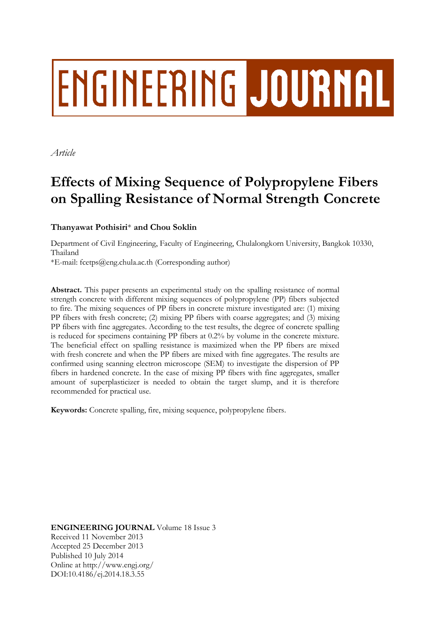# **ENGINEERING JOURNAL**

*Article*

## **Effects of Mixing Sequence of Polypropylene Fibers on Spalling Resistance of Normal Strength Concrete**

### **Thanyawat Pothisiri**\* **and Chou Soklin**

Department of Civil Engineering, Faculty of Engineering, Chulalongkorn University, Bangkok 10330, Thailand

\*E-mail: fcetps@eng.chula.ac.th (Corresponding author)

**Abstract.** This paper presents an experimental study on the spalling resistance of normal strength concrete with different mixing sequences of polypropylene (PP) fibers subjected to fire. The mixing sequences of PP fibers in concrete mixture investigated are: (1) mixing PP fibers with fresh concrete; (2) mixing PP fibers with coarse aggregates; and (3) mixing PP fibers with fine aggregates. According to the test results, the degree of concrete spalling is reduced for specimens containing PP fibers at 0.2% by volume in the concrete mixture. The beneficial effect on spalling resistance is maximized when the PP fibers are mixed with fresh concrete and when the PP fibers are mixed with fine aggregates. The results are confirmed using scanning electron microscope (SEM) to investigate the dispersion of PP fibers in hardened concrete. In the case of mixing PP fibers with fine aggregates, smaller amount of superplasticizer is needed to obtain the target slump, and it is therefore recommended for practical use.

**Keywords:** Concrete spalling, fire, mixing sequence, polypropylene fibers.

**ENGINEERING JOURNAL** Volume 18 Issue 3 Received 11 November 2013 Accepted 25 December 2013 Published 10 July 2014 Online at http://www.engj.org/ DOI:10.4186/ej.2014.18.3.55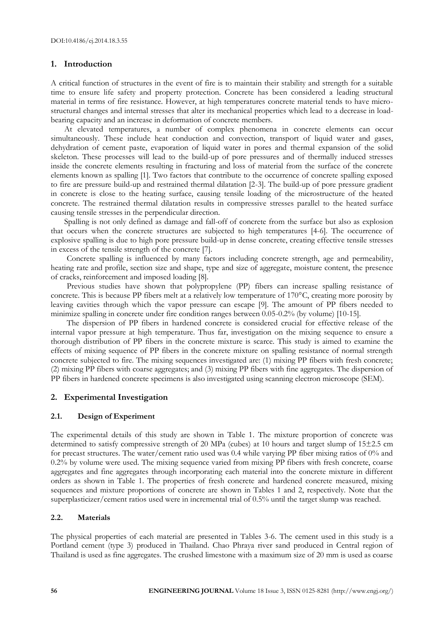#### **1. Introduction**

A critical function of structures in the event of fire is to maintain their stability and strength for a suitable time to ensure life safety and property protection. Concrete has been considered a leading structural material in terms of fire resistance. However, at high temperatures concrete material tends to have microstructural changes and internal stresses that alter its mechanical properties which lead to a decrease in loadbearing capacity and an increase in deformation of concrete members.

At elevated temperatures, a number of complex phenomena in concrete elements can occur simultaneously. These include heat conduction and convection, transport of liquid water and gases, dehydration of cement paste, evaporation of liquid water in pores and thermal expansion of the solid skeleton. These processes will lead to the build-up of pore pressures and of thermally induced stresses inside the concrete elements resulting in fracturing and loss of material from the surface of the concrete elements known as spalling [1]. Two factors that contribute to the occurrence of concrete spalling exposed to fire are pressure build-up and restrained thermal dilatation [2-3]. The build-up of pore pressure gradient in concrete is close to the heating surface, causing tensile loading of the microstructure of the heated concrete. The restrained thermal dilatation results in compressive stresses parallel to the heated surface causing tensile stresses in the perpendicular direction.

Spalling is not only defined as damage and fall-off of concrete from the surface but also as explosion that occurs when the concrete structures are subjected to high temperatures [4-6]. The occurrence of explosive spalling is due to high pore pressure build-up in dense concrete, creating effective tensile stresses in excess of the tensile strength of the concrete [7].

Concrete spalling is influenced by many factors including concrete strength, age and permeability, heating rate and profile, section size and shape, type and size of aggregate, moisture content, the presence of cracks, reinforcement and imposed loading [8].

Previous studies have shown that polypropylene (PP) fibers can increase spalling resistance of concrete. This is because PP fibers melt at a relatively low temperature of 170°C, creating more porosity by leaving cavities through which the vapor pressure can escape [9]. The amount of PP fibers needed to minimize spalling in concrete under fire condition ranges between 0.05-0.2% (by volume) [10-15].

The dispersion of PP fibers in hardened concrete is considered crucial for effective release of the internal vapor pressure at high temperature. Thus far, investigation on the mixing sequence to ensure a thorough distribution of PP fibers in the concrete mixture is scarce. This study is aimed to examine the effects of mixing sequence of PP fibers in the concrete mixture on spalling resistance of normal strength concrete subjected to fire. The mixing sequences investigated are: (1) mixing PP fibers with fresh concrete; (2) mixing PP fibers with coarse aggregates; and (3) mixing PP fibers with fine aggregates. The dispersion of PP fibers in hardened concrete specimens is also investigated using scanning electron microscope (SEM).

#### **2. Experimental Investigation**

#### **2.1. Design of Experiment**

The experimental details of this study are shown in Table 1. The mixture proportion of concrete was determined to satisfy compressive strength of 20 MPa (cubes) at 10 hours and target slump of 15±2.5 cm for precast structures. The water/cement ratio used was 0.4 while varying PP fiber mixing ratios of 0% and  $0.2\%$  by volume were used. The mixing sequence varied from mixing PP fibers with fresh concrete, coarse aggregates and fine aggregates through incorporating each material into the concrete mixture in different orders as shown in Table 1. The properties of fresh concrete and hardened concrete measured, mixing sequences and mixture proportions of concrete are shown in Tables 1 and 2, respectively. Note that the superplasticizer/cement ratios used were in incremental trial of 0.5% until the target slump was reached.

#### **2.2. Materials**

The physical properties of each material are presented in Tables 3-6. The cement used in this study is a Portland cement (type 3) produced in Thailand. Chao Phraya river sand produced in Central region of Thailand is used as fine aggregates. The crushed limestone with a maximum size of 20 mm is used as coarse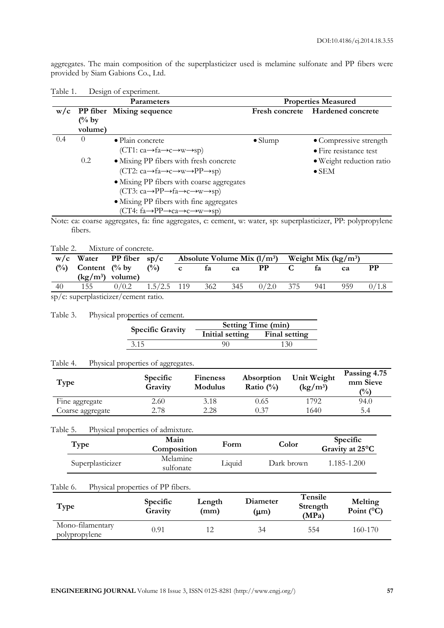aggregates. The main composition of the superplasticizer used is melamine sulfonate and PP fibers were provided by Siam Gabions Co., Ltd.

| <b>Parameters</b> |                  |                                                                                      | <b>Properties Measured</b> |                                |  |
|-------------------|------------------|--------------------------------------------------------------------------------------|----------------------------|--------------------------------|--|
| W/c               |                  | PP fiber Mixing sequence                                                             | <b>Fresh concrete</b>      | <b>Hardened concrete</b>       |  |
|                   | $\frac{6}{6}$ by |                                                                                      |                            |                                |  |
|                   | volume)          |                                                                                      |                            |                                |  |
| 0.4               | $\theta$         | $\bullet$ Plain concrete                                                             | $\bullet$ Slump            | • Compressive strength         |  |
|                   |                  | $(CT1: ca \rightarrow fa \rightarrow c \rightarrow w \rightarrow sp)$                |                            | $\bullet$ Fire resistance test |  |
|                   | 0.2              | • Mixing PP fibers with fresh concrete                                               |                            | • Weight reduction ratio       |  |
|                   |                  | $(CT2: ca \rightarrow fa \rightarrow c \rightarrow w \rightarrow PP \rightarrow sp)$ |                            | $\bullet$ SEM                  |  |
|                   |                  | • Mixing PP fibers with coarse aggregates                                            |                            |                                |  |
|                   |                  | $(CT3: ca \rightarrow PP \rightarrow fa \rightarrow c \rightarrow w \rightarrow sp)$ |                            |                                |  |
|                   |                  | • Mixing PP fibers with fine aggregates                                              |                            |                                |  |
|                   |                  | $(CT4: fa \rightarrow PP \rightarrow ca \rightarrow c \rightarrow w \rightarrow sp)$ |                            |                                |  |

| Table 1. |  | Design of experiment. |
|----------|--|-----------------------|
|          |  |                       |

Note: ca: coarse aggregates, fa: fine aggregates, c: cement, w: water, sp: superplasticizer, PP: polypropylene fibers.

Table 2. Mixture of concrete.

|    |     | $w/c$ Water PP fiber sp/c                                  |               |         |     | Absolute Volume Mix $(l/m^3)$ Weight Mix (kg/m <sup>3</sup> ) |     |      |       |
|----|-----|------------------------------------------------------------|---------------|---------|-----|---------------------------------------------------------------|-----|------|-------|
|    |     | $(\frac{0}{0})$ Content $(\frac{0}{0})$ by $(\frac{0}{0})$ |               | c fa ca |     | <b>PP</b>                                                     | fa  | ca   | PР    |
|    |     | $(kg/m3)$ volume)                                          |               |         |     |                                                               |     |      |       |
| 40 | 155 | 0/0.2                                                      | $1.5/2.5$ 119 | 362     | 345 | $0/2.0$ 375                                                   | 941 | 959. | 0/1.8 |
|    |     |                                                            |               |         |     |                                                               |     |      |       |

sp/c: superplasticizer/cement ratio.

#### Table 3. Physical properties of cement.

| <b>Specific Gravity</b> | <b>Setting Time (min)</b> |               |  |  |
|-------------------------|---------------------------|---------------|--|--|
|                         | Initial setting           | Final setting |  |  |
| 3.15                    | 90                        | 130           |  |  |

#### Table 4. Physical properties of aggregates.

| Type             | <b>Specific</b><br>Gravity | <b>Fineness</b><br>Modulus | Absorption<br>Ratio $(\%)$ | Unit Weight<br>$(kg/m^3)$ | Passing 4.75<br>mm Sieve<br>$\binom{0}{0}$ |
|------------------|----------------------------|----------------------------|----------------------------|---------------------------|--------------------------------------------|
| Fine aggregate   | 2.60                       | 3.18                       | 0.65                       | 1792                      | 94.0                                       |
| Coarse aggregate | 2.78                       | 2.28                       | 0.37                       | 1640                      | 5.4                                        |

#### Table 5. Physical properties of admixture.

| Type             | Main<br>Composition   | Form   | Color      | Specific<br>Gravity at 25°C |
|------------------|-----------------------|--------|------------|-----------------------------|
| Superplasticizer | Melamine<br>sulfonate | Liquid | Dark brown | 1.185-1.200                 |

#### Table 6. Physical properties of PP fibers.

| Type                              | <b>Specific</b><br>Gravity | Length<br>(mm) | Diameter<br>(µm) | <b>Tensile</b><br>Strength<br>(MPa) | Melting<br>Point $(^{\circ}C)$ |
|-----------------------------------|----------------------------|----------------|------------------|-------------------------------------|--------------------------------|
| Mono-filamentary<br>polypropylene | 0.91                       |                | 34               | 554                                 | 160-170                        |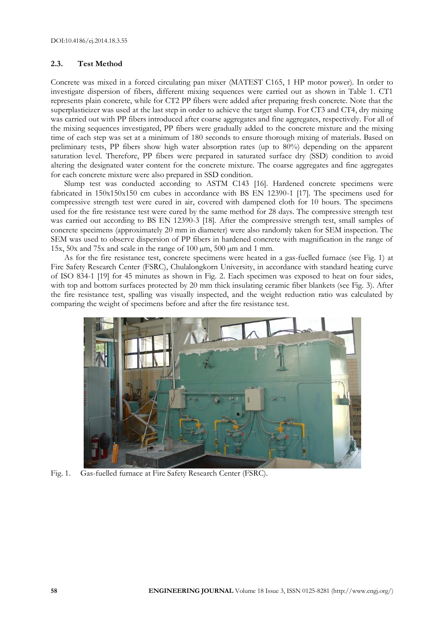#### **2.3. Test Method**

Concrete was mixed in a forced circulating pan mixer (MATEST C165, 1 HP motor power). In order to investigate dispersion of fibers, different mixing sequences were carried out as shown in Table 1. CT1 represents plain concrete, while for CT2 PP fibers were added after preparing fresh concrete. Note that the superplasticizer was used at the last step in order to achieve the target slump. For CT3 and CT4, dry mixing was carried out with PP fibers introduced after coarse aggregates and fine aggregates, respectively. For all of the mixing sequences investigated, PP fibers were gradually added to the concrete mixture and the mixing time of each step was set at a minimum of 180 seconds to ensure thorough mixing of materials. Based on preliminary tests, PP fibers show high water absorption rates (up to 80%) depending on the apparent saturation level. Therefore, PP fibers were prepared in saturated surface dry (SSD) condition to avoid altering the designated water content for the concrete mixture. The coarse aggregates and fine aggregates for each concrete mixture were also prepared in SSD condition.

Slump test was conducted according to ASTM C143 [16]. Hardened concrete specimens were fabricated in 150x150x150 cm cubes in accordance with BS EN 12390-1 [17]. The specimens used for compressive strength test were cured in air, covered with dampened cloth for 10 hours. The specimens used for the fire resistance test were cured by the same method for 28 days. The compressive strength test was carried out according to BS EN 12390-3 [18]. After the compressive strength test, small samples of concrete specimens (approximately 20 mm in diameter) were also randomly taken for SEM inspection. The SEM was used to observe dispersion of PP fibers in hardened concrete with magnification in the range of 15x, 50x and 75x and scale in the range of 100 µm, 500 µm and 1 mm.

As for the fire resistance test, concrete specimens were heated in a gas-fuelled furnace (see Fig. 1) at Fire Safety Research Center (FSRC), Chulalongkorn University, in accordance with standard heating curve of ISO 834-1 [19] for 45 minutes as shown in Fig. 2. Each specimen was exposed to heat on four sides, with top and bottom surfaces protected by 20 mm thick insulating ceramic fiber blankets (see Fig. 3). After the fire resistance test, spalling was visually inspected, and the weight reduction ratio was calculated by comparing the weight of specimens before and after the fire resistance test.



Fig. 1. Gas-fuelled furnace at Fire Safety Research Center (FSRC).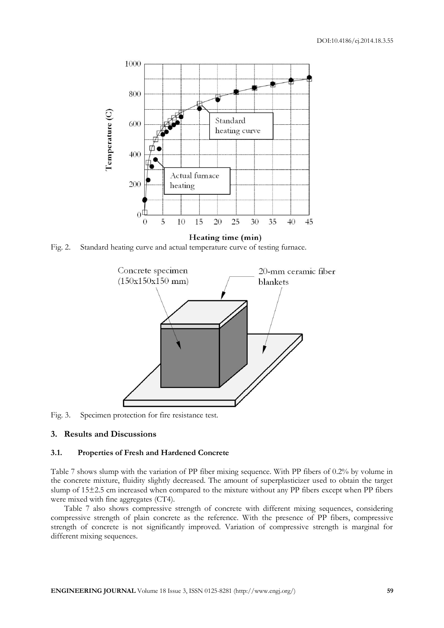

Fig. 2. Standard heating curve and actual temperature curve of testing furnace.



Fig. 3. Specimen protection for fire resistance test.

#### **3. Results and Discussions**

#### **3.1. Properties of Fresh and Hardened Concrete**

Table 7 shows slump with the variation of PP fiber mixing sequence. With PP fibers of 0.2% by volume in the concrete mixture, fluidity slightly decreased. The amount of superplasticizer used to obtain the target slump of 15±2.5 cm increased when compared to the mixture without any PP fibers except when PP fibers were mixed with fine aggregates (CT4).

Table 7 also shows compressive strength of concrete with different mixing sequences, considering compressive strength of plain concrete as the reference. With the presence of PP fibers, compressive strength of concrete is not significantly improved. Variation of compressive strength is marginal for different mixing sequences.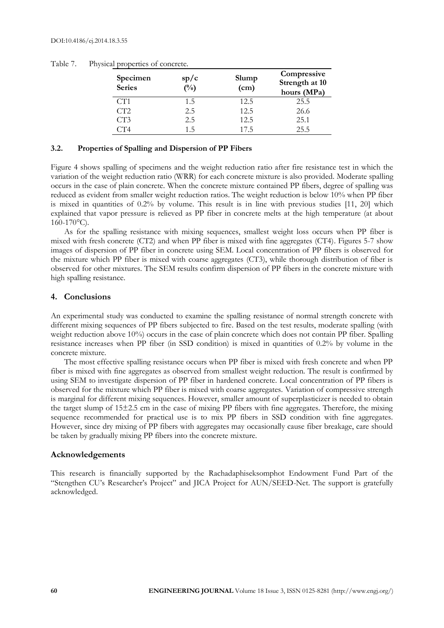| Specimen<br><b>Series</b> | sp/c<br>$(^{0}_{0})$ | Slump<br>(cm) | Compressive<br>Strength at 10<br>hours (MPa) |
|---------------------------|----------------------|---------------|----------------------------------------------|
| CT <sub>1</sub>           | 1.5                  | 12.5          | 25.5                                         |
| CT2                       | 2.5                  | 12.5          | 26.6                                         |
| CT3                       | 2.5                  | 12.5          | 25.1                                         |
| CT4                       | 1.5                  | 17.5          | 25.5                                         |

Table 7. Physical properties of concrete.

#### **3.2. Properties of Spalling and Dispersion of PP Fibers**

Figure 4 shows spalling of specimens and the weight reduction ratio after fire resistance test in which the variation of the weight reduction ratio (WRR) for each concrete mixture is also provided. Moderate spalling occurs in the case of plain concrete. When the concrete mixture contained PP fibers, degree of spalling was reduced as evident from smaller weight reduction ratios. The weight reduction is below 10% when PP fiber is mixed in quantities of  $0.2\%$  by volume. This result is in line with previous studies  $[11, 20]$  which explained that vapor pressure is relieved as PP fiber in concrete melts at the high temperature (at about  $160-170$ °C).

As for the spalling resistance with mixing sequences, smallest weight loss occurs when PP fiber is mixed with fresh concrete (CT2) and when PP fiber is mixed with fine aggregates (CT4). Figures 5-7 show images of dispersion of PP fiber in concrete using SEM. Local concentration of PP fibers is observed for the mixture which PP fiber is mixed with coarse aggregates (CT3), while thorough distribution of fiber is observed for other mixtures. The SEM results confirm dispersion of PP fibers in the concrete mixture with high spalling resistance.

#### **4. Conclusions**

An experimental study was conducted to examine the spalling resistance of normal strength concrete with different mixing sequences of PP fibers subjected to fire. Based on the test results, moderate spalling (with weight reduction above 10%) occurs in the case of plain concrete which does not contain PP fiber. Spalling resistance increases when PP fiber (in SSD condition) is mixed in quantities of 0.2% by volume in the concrete mixture.

The most effective spalling resistance occurs when PP fiber is mixed with fresh concrete and when PP fiber is mixed with fine aggregates as observed from smallest weight reduction. The result is confirmed by using SEM to investigate dispersion of PP fiber in hardened concrete. Local concentration of PP fibers is observed for the mixture which PP fiber is mixed with coarse aggregates. Variation of compressive strength is marginal for different mixing sequences. However, smaller amount of superplasticizer is needed to obtain the target slump of 15±2.5 cm in the case of mixing PP fibers with fine aggregates. Therefore, the mixing sequence recommended for practical use is to mix PP fibers in SSD condition with fine aggregates. However, since dry mixing of PP fibers with aggregates may occasionally cause fiber breakage, care should be taken by gradually mixing PP fibers into the concrete mixture.

#### **Acknowledgements**

This research is financially supported by the Rachadaphiseksomphot Endowment Fund Part of the "Stengthen CU's Researcher's Project" and JICA Project for AUN/SEED-Net. The support is gratefully acknowledged.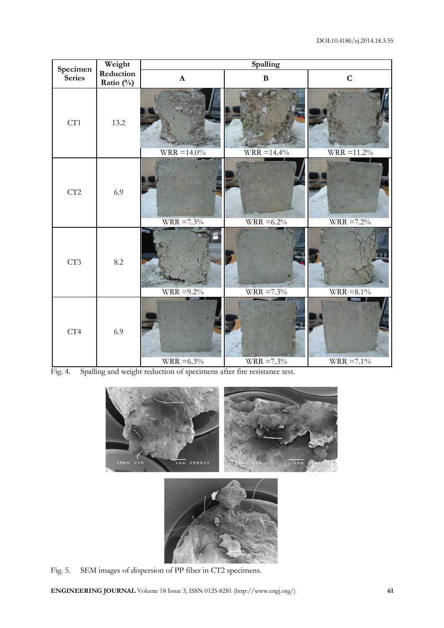| Specimen | Weight                 | Spalling       |               |                                  |  |  |
|----------|------------------------|----------------|---------------|----------------------------------|--|--|
| Series   | Reduction<br>Ratio (%) | $\mathbf A$    | $\, {\bf B}$  | $\mathbf C$                      |  |  |
| CT1      | 13.2                   | $WRR = 14.0\%$ | $WRR = 14.4%$ | $\overline{\text{WRR}} = 11.2\%$ |  |  |
| CT2      | 6.9                    | $WRR = 7.3%$   | $WRR = 6.2\%$ | $WRR = 7.2\%$                    |  |  |
| CT3      | 8.2                    | $WRR = 9.2\%$  | $WRR = 7.3\%$ | $\overline{\text{WRR}}$ =8.1%    |  |  |
| CT4      | 6.9                    | $WRR = 6.3\%$  | $WRR = 7.3\%$ | ł<br>$WRR = 7.1\%$               |  |  |

Fig. 4. Spalling and weight reduction of specimens after fire resistance test.





Fig. 5. SEM images of dispersion of PP fiber in CT2 specimens.

**ENGINEERING JOURNAL** Volume 18 Issue 3, ISSN 0125-8281 (http://www.engj.org/) **61**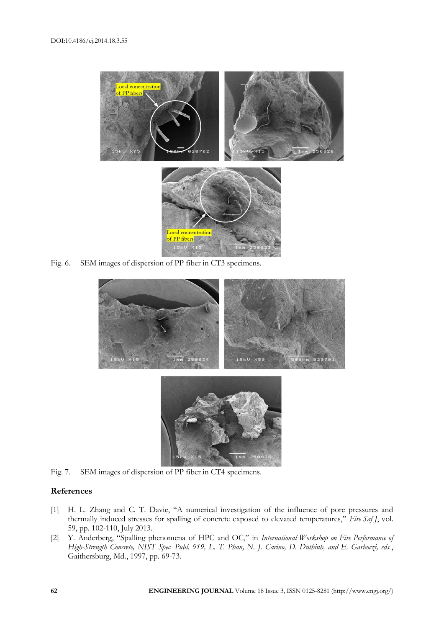

Fig. 6. SEM images of dispersion of PP fiber in CT3 specimens.



Fig. 7. SEM images of dispersion of PP fiber in CT4 specimens.

#### **References**

- [1] H. L. Zhang and C. T. Davie, "A numerical investigation of the influence of pore pressures and thermally induced stresses for spalling of concrete exposed to elevated temperatures," *Fire Saf J*, vol. 59, pp. 102-110, July 2013.
- [2] Y. Anderberg, "Spalling phenomena of HPC and OC," in *International Workshop on Fire Performance of High-Strength Concrete, NIST Spec. Publ. 919, L. T. Phan, N. J. Carino, D. Duthinh, and E. Garboczi, eds.*, Gaithersburg, Md., 1997, pp. 69-73.